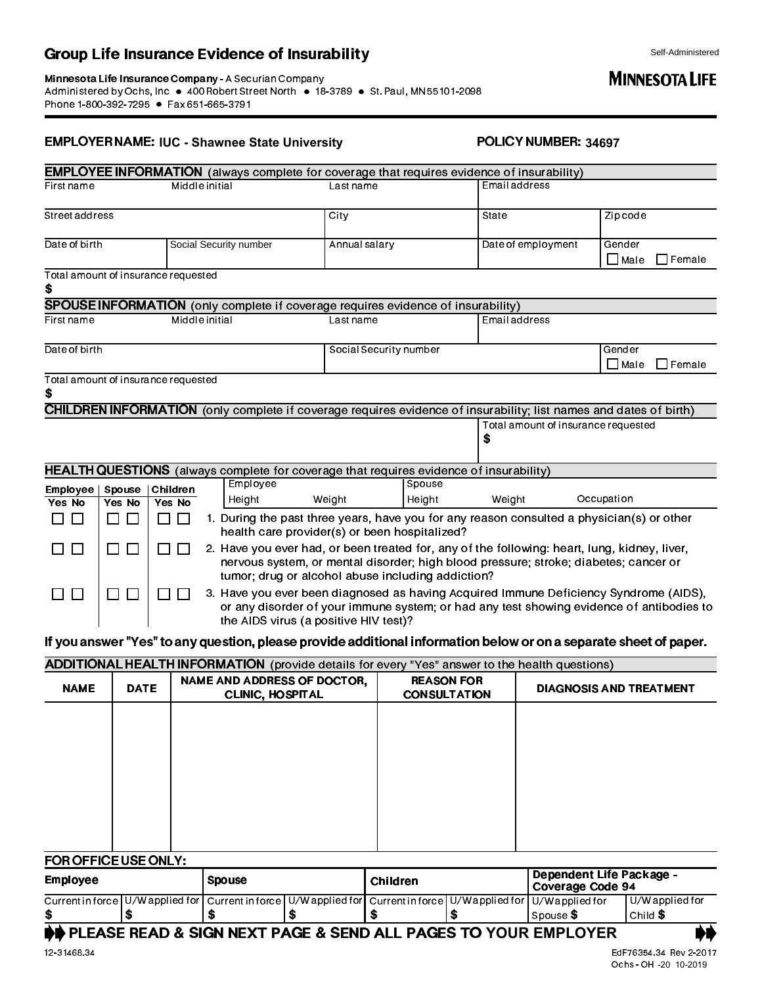### Group Life Insurance Evidence of Insurability

#### EMPLOYER NAME: POLICY NUMBER: **IUC - Shawnee State University 34697**

|                                           |                  |                   |  |                                                                                                                                                                                                                                           |                        |                                          |                                                                                  | <b>EMPLOYEE INFORMATION</b> (always complete for coverage that requires evidence of insurability)                 |                 |                       |               |
|-------------------------------------------|------------------|-------------------|--|-------------------------------------------------------------------------------------------------------------------------------------------------------------------------------------------------------------------------------------------|------------------------|------------------------------------------|----------------------------------------------------------------------------------|-------------------------------------------------------------------------------------------------------------------|-----------------|-----------------------|---------------|
| Firstname                                 | Middle initial   |                   |  |                                                                                                                                                                                                                                           |                        | Lastname                                 |                                                                                  | Email address                                                                                                     |                 |                       |               |
| Street address                            |                  |                   |  |                                                                                                                                                                                                                                           |                        | City                                     |                                                                                  | State                                                                                                             |                 | Zip code              |               |
| Date of birth                             |                  |                   |  | Social Security number                                                                                                                                                                                                                    |                        | Annual salary                            |                                                                                  | Date of employment                                                                                                |                 | Gender<br>$\Box$ Male | $\Box$ Female |
| Total amount of insurance requested<br>S  |                  |                   |  |                                                                                                                                                                                                                                           |                        |                                          |                                                                                  |                                                                                                                   |                 |                       |               |
|                                           |                  |                   |  |                                                                                                                                                                                                                                           |                        |                                          | SPOUSE INFORMATION (only complete if coverage requires evidence of insurability) |                                                                                                                   |                 |                       |               |
| Middle initial<br>Firstname               |                  |                   |  |                                                                                                                                                                                                                                           | Lastname               |                                          | Email address                                                                    |                                                                                                                   |                 |                       |               |
| Date of birth                             |                  |                   |  |                                                                                                                                                                                                                                           | Social Security number |                                          |                                                                                  |                                                                                                                   | Gender<br>∏Male | $\Box$ Female         |               |
| Total amount of insurance requested<br>\$ |                  |                   |  |                                                                                                                                                                                                                                           |                        |                                          |                                                                                  |                                                                                                                   |                 |                       |               |
|                                           |                  |                   |  |                                                                                                                                                                                                                                           |                        |                                          |                                                                                  | CHILDREN INFORMATION (only complete if coverage requires evidence of insurability; list names and dates of birth) |                 |                       |               |
|                                           |                  |                   |  |                                                                                                                                                                                                                                           |                        | Total amount of insurance requested<br>S |                                                                                  |                                                                                                                   |                 |                       |               |
|                                           |                  |                   |  |                                                                                                                                                                                                                                           |                        |                                          |                                                                                  | HEALTH QUESTIONS (always complete for coverage that requires evidence of insurability)                            |                 |                       |               |
| Employee                                  | Spouse           | Children          |  | Employee                                                                                                                                                                                                                                  |                        |                                          | Spouse                                                                           |                                                                                                                   |                 |                       |               |
| Yes No                                    | Yes No           | Yes No            |  | Height                                                                                                                                                                                                                                    |                        | Weight                                   | Height                                                                           | Weight                                                                                                            |                 | Occupation            |               |
| □□                                        | $\perp$<br>l 1   | П.<br>$\Box$      |  | 1. During the past three years, have you for any reason consulted a physician(s) or other<br>health care provider(s) or been hospitalized?                                                                                                |                        |                                          |                                                                                  |                                                                                                                   |                 |                       |               |
| $\Box$                                    | П<br>П           | $\Box$<br>$\perp$ |  | 2. Have you ever had, or been treated for, any of the following: heart, lung, kidney, liver,<br>nervous system, or mental disorder; high blood pressure; stroke; diabetes; cancer or<br>tumor; drug or alcohol abuse including addiction? |                        |                                          |                                                                                  |                                                                                                                   |                 |                       |               |
| $\Box$<br>$\Box$                          | $\Box$<br>$\Box$ |                   |  | 3. Have you ever been diagnosed as having Acquired Immune Deficiency Syndrome (AIDS),<br>or any disorder of your immune system; or had any test showing evidence of antibodies to<br>the AIDS virus (a positive HIV test)?                |                        |                                          |                                                                                  |                                                                                                                   |                 |                       |               |
|                                           |                  |                   |  |                                                                                                                                                                                                                                           |                        |                                          |                                                                                  | If you answer "Yes" to any question, please provide additional information below or on a separate sheet of paper. |                 |                       |               |

# ADDITIONAL HEALTH INFORMATION (provide details for every "Yes" answer to the health questions) NAME | DATE | NAME AND ADDRESS OF DOCTOR, | REASON FOR | DIAGNOSIS AND TREATMENT |

#### FOR OFFICE USE ONLY:

| ______________                                                                   |  |                                                                                                                                |  |          |  |                                                            |                     |  |
|----------------------------------------------------------------------------------|--|--------------------------------------------------------------------------------------------------------------------------------|--|----------|--|------------------------------------------------------------|---------------------|--|
| <b>Employee</b>                                                                  |  | <b>Spouse</b>                                                                                                                  |  | Children |  | <b>Dependent Life Package -</b><br><b>Coverage Code 94</b> |                     |  |
|                                                                                  |  | Current in force   U/W applied for   Current in force   U/W applied for   Current in force   U/W applied for   U/W applied for |  |          |  |                                                            | U/W applied for     |  |
|                                                                                  |  |                                                                                                                                |  |          |  | Spouse <b>S</b>                                            | $l$ Child ${\bf S}$ |  |
| <b>DO PLEASE READ &amp; SIGN NEXT PAGE &amp; SEND ALL PAGES TO YOUR EMPLOYER</b> |  |                                                                                                                                |  |          |  |                                                            |                     |  |

## Self-Administered<br> **Administered**<br>
<br> **Administered**<br> **Administered**<br> **Administered**